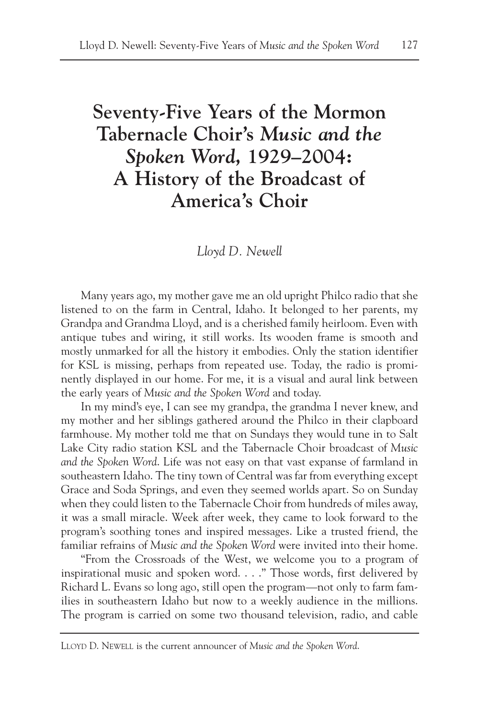# **Seventy-Five Years of the Mormon Tabernacle Choir's** *Music and the Spoken Word***, 1929–2004: A History of the Broadcast of America's Choir**

# *Lloyd D. Newell*

Many years ago, my mother gave me an old upright Philco radio that she listened to on the farm in Central, Idaho. It belonged to her parents, my Grandpa and Grandma Lloyd, and is a cherished family heirloom. Even with antique tubes and wiring, it still works. Its wooden frame is smooth and mostly unmarked for all the history it embodies. Only the station identifier for KSL is missing, perhaps from repeated use. Today, the radio is prominently displayed in our home. For me, it is a visual and aural link between the early years of *Music and the Spoken Word* and today.

In my mind's eye, I can see my grandpa, the grandma I never knew, and my mother and her siblings gathered around the Philco in their clapboard farmhouse. My mother told me that on Sundays they would tune in to Salt Lake City radio station KSL and the Tabernacle Choir broadcast of *Music and the Spoken Word*. Life was not easy on that vast expanse of farmland in southeastern Idaho. The tiny town of Central was far from everything except Grace and Soda Springs, and even they seemed worlds apart. So on Sunday when they could listen to the Tabernacle Choir from hundreds of miles away, it was a small miracle. Week after week, they came to look forward to the program's soothing tones and inspired messages. Like a trusted friend, the familiar refrains of *Music and the Spoken Word* were invited into their home.

"From the Crossroads of the West, we welcome you to a program of inspirational music and spoken word. . . ." Those words, first delivered by Richard L. Evans so long ago, still open the program—not only to farm families in southeastern Idaho but now to a weekly audience in the millions. The program is carried on some two thousand television, radio, and cable

LLOYD D. NEWELL is the current announcer of *Music and the Spoken Word*.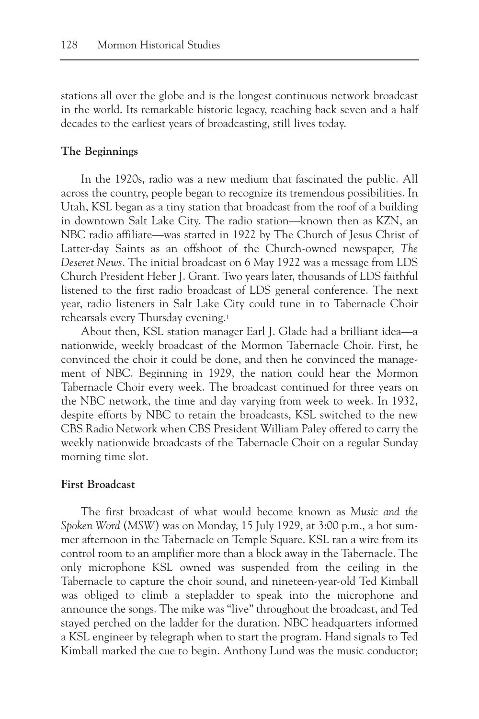stations all over the globe and is the longest continuous network broadcast in the world. Its remarkable historic legacy, reaching back seven and a half decades to the earliest years of broadcasting, still lives today.

# **The Beginnings**

In the 1920s, radio was a new medium that fascinated the public. All across the country, people began to recognize its tremendous possibilities. In Utah, KSL began as a tiny station that broadcast from the roof of a building in downtown Salt Lake City. The radio station—known then as KZN, an NBC radio affiliate—was started in 1922 by The Church of Jesus Christ of Latter-day Saints as an offshoot of the Church-owned newspaper, *The Deseret News*. The initial broadcast on 6 May 1922 was a message from LDS Church President Heber J. Grant. Two years later, thousands of LDS faithful listened to the first radio broadcast of LDS general conference. The next year, radio listeners in Salt Lake City could tune in to Tabernacle Choir rehearsals every Thursday evening.1

About then, KSL station manager Earl J. Glade had a brilliant idea—a nationwide, weekly broadcast of the Mormon Tabernacle Choir. First, he convinced the choir it could be done, and then he convinced the management of NBC. Beginning in 1929, the nation could hear the Mormon Tabernacle Choir every week. The broadcast continued for three years on the NBC network, the time and day varying from week to week. In 1932, despite efforts by NBC to retain the broadcasts, KSL switched to the new CBS Radio Network when CBS President William Paley offered to carry the weekly nationwide broadcasts of the Tabernacle Choir on a regular Sunday morning time slot.

## **First Broadcast**

The first broadcast of what would become known as *Music and the Spoken Word* (*MSW*) was on Monday, 15 July 1929, at 3:00 p.m., a hot summer afternoon in the Tabernacle on Temple Square. KSL ran a wire from its control room to an amplifier more than a block away in the Tabernacle. The only microphone KSL owned was suspended from the ceiling in the Tabernacle to capture the choir sound, and nineteen-year-old Ted Kimball was obliged to climb a stepladder to speak into the microphone and announce the songs. The mike was "live" throughout the broadcast, and Ted stayed perched on the ladder for the duration. NBC headquarters informed a KSL engineer by telegraph when to start the program. Hand signals to Ted Kimball marked the cue to begin. Anthony Lund was the music conductor;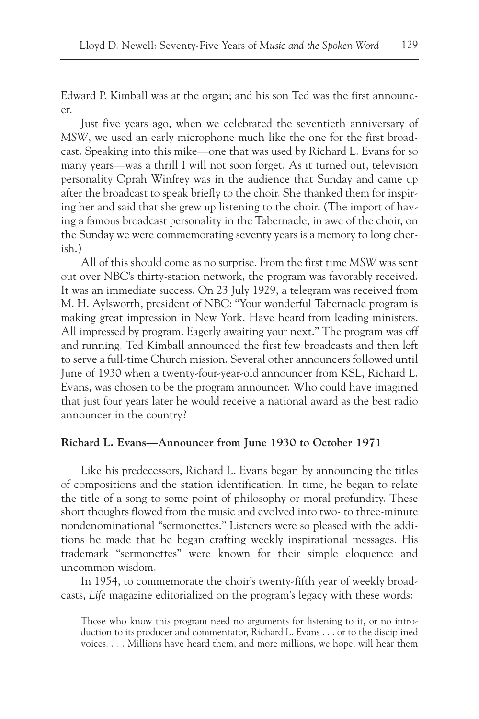Edward P. Kimball was at the organ; and his son Ted was the first announcer.

Just five years ago, when we celebrated the seventieth anniversary of *MSW*, we used an early microphone much like the one for the first broadcast. Speaking into this mike—one that was used by Richard L. Evans for so many years—was a thrill I will not soon forget. As it turned out, television personality Oprah Winfrey was in the audience that Sunday and came up after the broadcast to speak briefly to the choir. She thanked them for inspiring her and said that she grew up listening to the choir. (The import of having a famous broadcast personality in the Tabernacle, in awe of the choir, on the Sunday we were commemorating seventy years is a memory to long cherish.)

All of this should come as no surprise. From the first time *MSW* was sent out over NBC's thirty-station network, the program was favorably received. It was an immediate success. On 23 July 1929, a telegram was received from M. H. Aylsworth, president of NBC: "Your wonderful Tabernacle program is making great impression in New York. Have heard from leading ministers. All impressed by program. Eagerly awaiting your next." The program was off and running. Ted Kimball announced the first few broadcasts and then left to serve a full-time Church mission. Several other announcers followed until June of 1930 when a twenty-four-year-old announcer from KSL, Richard L. Evans, was chosen to be the program announcer. Who could have imagined that just four years later he would receive a national award as the best radio announcer in the country?

#### **Richard L. Evans—Announcer from June 1930 to October 1971**

Like his predecessors, Richard L. Evans began by announcing the titles of compositions and the station identification. In time, he began to relate the title of a song to some point of philosophy or moral profundity. These short thoughts flowed from the music and evolved into two- to three-minute nondenominational "sermonettes." Listeners were so pleased with the additions he made that he began crafting weekly inspirational messages. His trademark "sermonettes" were known for their simple eloquence and uncommon wisdom.

In 1954, to commemorate the choir's twenty-fifth year of weekly broadcasts, *Life* magazine editorialized on the program's legacy with these words:

Those who know this program need no arguments for listening to it, or no introduction to its producer and commentator, Richard L. Evans . . . or to the disciplined voices. . . . Millions have heard them, and more millions, we hope, will hear them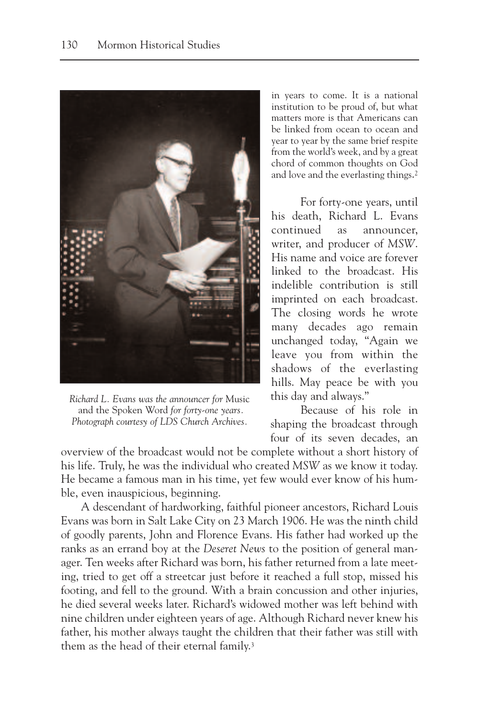

*Richard L. Evans was the announcer for* Music and the Spoken Word *for forty-one years. Photograph courtesy of LDS Church Archives.*

in years to come. It is a national institution to be proud of, but what matters more is that Americans can be linked from ocean to ocean and year to year by the same brief respite from the world's week, and by a great chord of common thoughts on God and love and the everlasting things.2

For forty-one years, until his death, Richard L. Evans continued as announcer, writer, and producer of *MSW*. His name and voice are forever linked to the broadcast. His indelible contribution is still imprinted on each broadcast. The closing words he wrote many decades ago remain unchanged today, "Again we leave you from within the shadows of the everlasting hills. May peace be with you this day and always."

Because of his role in shaping the broadcast through four of its seven decades, an

overview of the broadcast would not be complete without a short history of his life. Truly, he was the individual who created *MSW* as we know it today. He became a famous man in his time, yet few would ever know of his humble, even inauspicious, beginning.

A descendant of hardworking, faithful pioneer ancestors, Richard Louis Evans was born in Salt Lake City on 23 March 1906. He was the ninth child of goodly parents, John and Florence Evans. His father had worked up the ranks as an errand boy at the *Deseret News* to the position of general manager. Ten weeks after Richard was born, his father returned from a late meeting, tried to get off a streetcar just before it reached a full stop, missed his footing, and fell to the ground. With a brain concussion and other injuries, he died several weeks later. Richard's widowed mother was left behind with nine children under eighteen years of age. Although Richard never knew his father, his mother always taught the children that their father was still with them as the head of their eternal family.3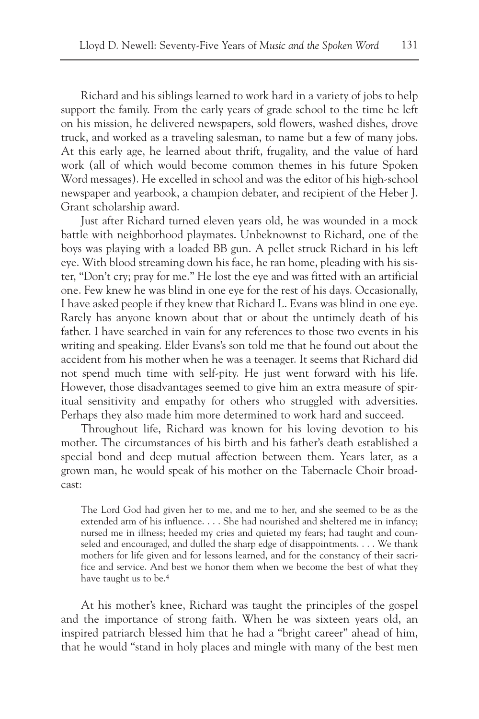Richard and his siblings learned to work hard in a variety of jobs to help support the family. From the early years of grade school to the time he left on his mission, he delivered newspapers, sold flowers, washed dishes, drove truck, and worked as a traveling salesman, to name but a few of many jobs. At this early age, he learned about thrift, frugality, and the value of hard work (all of which would become common themes in his future Spoken Word messages). He excelled in school and was the editor of his high-school newspaper and yearbook, a champion debater, and recipient of the Heber J. Grant scholarship award.

Just after Richard turned eleven years old, he was wounded in a mock battle with neighborhood playmates. Unbeknownst to Richard, one of the boys was playing with a loaded BB gun. A pellet struck Richard in his left eye. With blood streaming down his face, he ran home, pleading with his sister, "Don't cry; pray for me." He lost the eye and was fitted with an artificial one. Few knew he was blind in one eye for the rest of his days. Occasionally, I have asked people if they knew that Richard L. Evans was blind in one eye. Rarely has anyone known about that or about the untimely death of his father. I have searched in vain for any references to those two events in his writing and speaking. Elder Evans's son told me that he found out about the accident from his mother when he was a teenager. It seems that Richard did not spend much time with self-pity. He just went forward with his life. However, those disadvantages seemed to give him an extra measure of spiritual sensitivity and empathy for others who struggled with adversities. Perhaps they also made him more determined to work hard and succeed.

Throughout life, Richard was known for his loving devotion to his mother. The circumstances of his birth and his father's death established a special bond and deep mutual affection between them. Years later, as a grown man, he would speak of his mother on the Tabernacle Choir broadcast:

The Lord God had given her to me, and me to her, and she seemed to be as the extended arm of his influence. . . . She had nourished and sheltered me in infancy; nursed me in illness; heeded my cries and quieted my fears; had taught and counseled and encouraged, and dulled the sharp edge of disappointments. . . . We thank mothers for life given and for lessons learned, and for the constancy of their sacrifice and service. And best we honor them when we become the best of what they have taught us to be.4

At his mother's knee, Richard was taught the principles of the gospel and the importance of strong faith. When he was sixteen years old, an inspired patriarch blessed him that he had a "bright career" ahead of him, that he would "stand in holy places and mingle with many of the best men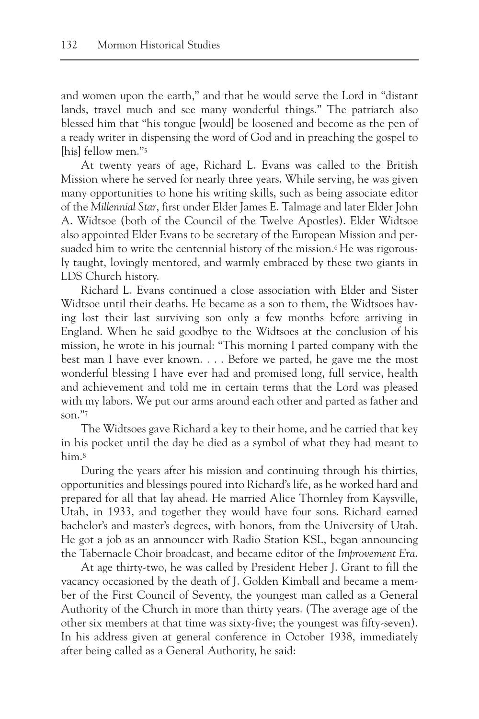and women upon the earth," and that he would serve the Lord in "distant lands, travel much and see many wonderful things." The patriarch also blessed him that "his tongue [would] be loosened and become as the pen of a ready writer in dispensing the word of God and in preaching the gospel to [his] fellow men."5

At twenty years of age, Richard L. Evans was called to the British Mission where he served for nearly three years. While serving, he was given many opportunities to hone his writing skills, such as being associate editor of the *Millennial Star*, first under Elder James E. Talmage and later Elder John A. Widtsoe (both of the Council of the Twelve Apostles). Elder Widtsoe also appointed Elder Evans to be secretary of the European Mission and persuaded him to write the centennial history of the mission.<sup>6</sup>He was rigorously taught, lovingly mentored, and warmly embraced by these two giants in LDS Church history.

Richard L. Evans continued a close association with Elder and Sister Widtsoe until their deaths. He became as a son to them, the Widtsoes having lost their last surviving son only a few months before arriving in England. When he said goodbye to the Widtsoes at the conclusion of his mission, he wrote in his journal: "This morning I parted company with the best man I have ever known. . . . Before we parted, he gave me the most wonderful blessing I have ever had and promised long, full service, health and achievement and told me in certain terms that the Lord was pleased with my labors. We put our arms around each other and parted as father and son." $^{\prime\prime}$ 

The Widtsoes gave Richard a key to their home, and he carried that key in his pocket until the day he died as a symbol of what they had meant to him.8

During the years after his mission and continuing through his thirties, opportunities and blessings poured into Richard's life, as he worked hard and prepared for all that lay ahead. He married Alice Thornley from Kaysville, Utah, in 1933, and together they would have four sons. Richard earned bachelor's and master's degrees, with honors, from the University of Utah. He got a job as an announcer with Radio Station KSL, began announcing the Tabernacle Choir broadcast, and became editor of the *Improvement Era*.

At age thirty-two, he was called by President Heber J. Grant to fill the vacancy occasioned by the death of J. Golden Kimball and became a member of the First Council of Seventy, the youngest man called as a General Authority of the Church in more than thirty years. (The average age of the other six members at that time was sixty-five; the youngest was fifty-seven). In his address given at general conference in October 1938, immediately after being called as a General Authority, he said: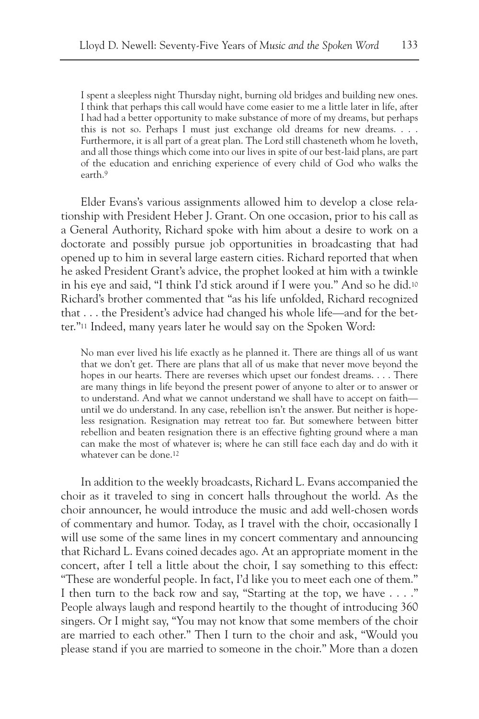I spent a sleepless night Thursday night, burning old bridges and building new ones. I think that perhaps this call would have come easier to me a little later in life, after I had had a better opportunity to make substance of more of my dreams, but perhaps this is not so. Perhaps I must just exchange old dreams for new dreams. . . . Furthermore, it is all part of a great plan. The Lord still chasteneth whom he loveth, and all those things which come into our lives in spite of our best-laid plans, are part of the education and enriching experience of every child of God who walks the earth.9

Elder Evans's various assignments allowed him to develop a close relationship with President Heber J. Grant. On one occasion, prior to his call as a General Authority, Richard spoke with him about a desire to work on a doctorate and possibly pursue job opportunities in broadcasting that had opened up to him in several large eastern cities. Richard reported that when he asked President Grant's advice, the prophet looked at him with a twinkle in his eye and said, "I think I'd stick around if I were you." And so he did.10 Richard's brother commented that "as his life unfolded, Richard recognized that . . . the President's advice had changed his whole life—and for the better."11 Indeed, many years later he would say on the Spoken Word:

No man ever lived his life exactly as he planned it. There are things all of us want that we don't get. There are plans that all of us make that never move beyond the hopes in our hearts. There are reverses which upset our fondest dreams. . . . There are many things in life beyond the present power of anyone to alter or to answer or to understand. And what we cannot understand we shall have to accept on faith until we do understand. In any case, rebellion isn't the answer. But neither is hopeless resignation. Resignation may retreat too far. But somewhere between bitter rebellion and beaten resignation there is an effective fighting ground where a man can make the most of whatever is; where he can still face each day and do with it whatever can be done.12

In addition to the weekly broadcasts, Richard L. Evans accompanied the choir as it traveled to sing in concert halls throughout the world. As the choir announcer, he would introduce the music and add well-chosen words of commentary and humor. Today, as I travel with the choir, occasionally I will use some of the same lines in my concert commentary and announcing that Richard L. Evans coined decades ago. At an appropriate moment in the concert, after I tell a little about the choir, I say something to this effect: "These are wonderful people. In fact, I'd like you to meet each one of them." I then turn to the back row and say, "Starting at the top, we have . . . ." People always laugh and respond heartily to the thought of introducing 360 singers. Or I might say, "You may not know that some members of the choir are married to each other." Then I turn to the choir and ask, "Would you please stand if you are married to someone in the choir." More than a dozen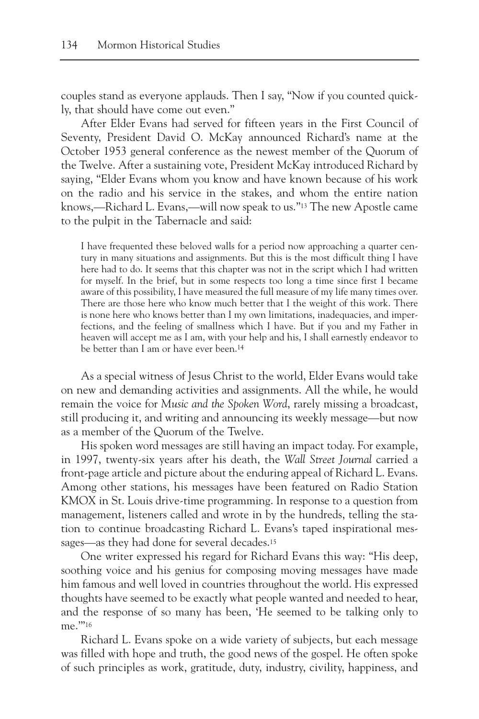couples stand as everyone applauds. Then I say, "Now if you counted quickly, that should have come out even."

After Elder Evans had served for fifteen years in the First Council of Seventy, President David O. McKay announced Richard's name at the October 1953 general conference as the newest member of the Quorum of the Twelve. After a sustaining vote, President McKay introduced Richard by saying, "Elder Evans whom you know and have known because of his work on the radio and his service in the stakes, and whom the entire nation knows,—Richard L. Evans,—will now speak to us."13 The new Apostle came to the pulpit in the Tabernacle and said:

I have frequented these beloved walls for a period now approaching a quarter century in many situations and assignments. But this is the most difficult thing I have here had to do. It seems that this chapter was not in the script which I had written for myself. In the brief, but in some respects too long a time since first I became aware of this possibility, I have measured the full measure of my life many times over. There are those here who know much better that I the weight of this work. There is none here who knows better than I my own limitations, inadequacies, and imperfections, and the feeling of smallness which I have. But if you and my Father in heaven will accept me as I am, with your help and his, I shall earnestly endeavor to be better than I am or have ever been.14

As a special witness of Jesus Christ to the world, Elder Evans would take on new and demanding activities and assignments. All the while, he would remain the voice for *Music and the Spoken Word*, rarely missing a broadcast, still producing it, and writing and announcing its weekly message—but now as a member of the Quorum of the Twelve.

His spoken word messages are still having an impact today. For example, in 1997, twenty-six years after his death, the *Wall Street Journal* carried a front-page article and picture about the enduring appeal of Richard L. Evans. Among other stations, his messages have been featured on Radio Station KMOX in St. Louis drive-time programming. In response to a question from management, listeners called and wrote in by the hundreds, telling the station to continue broadcasting Richard L. Evans's taped inspirational messages—as they had done for several decades.15

One writer expressed his regard for Richard Evans this way: "His deep, soothing voice and his genius for composing moving messages have made him famous and well loved in countries throughout the world. His expressed thoughts have seemed to be exactly what people wanted and needed to hear, and the response of so many has been, 'He seemed to be talking only to me."<sup>16</sup>

Richard L. Evans spoke on a wide variety of subjects, but each message was filled with hope and truth, the good news of the gospel. He often spoke of such principles as work, gratitude, duty, industry, civility, happiness, and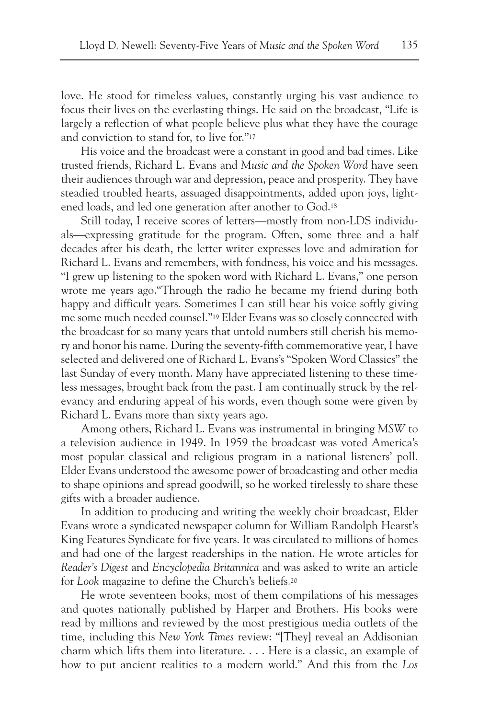love. He stood for timeless values, constantly urging his vast audience to focus their lives on the everlasting things. He said on the broadcast, "Life is largely a reflection of what people believe plus what they have the courage and conviction to stand for, to live for."17

His voice and the broadcast were a constant in good and bad times. Like trusted friends, Richard L. Evans and *Music and the Spoken Word* have seen their audiences through war and depression, peace and prosperity. They have steadied troubled hearts, assuaged disappointments, added upon joys, lightened loads, and led one generation after another to God.18

Still today, I receive scores of letters—mostly from non-LDS individuals—expressing gratitude for the program. Often, some three and a half decades after his death, the letter writer expresses love and admiration for Richard L. Evans and remembers, with fondness, his voice and his messages. "I grew up listening to the spoken word with Richard L. Evans," one person wrote me years ago."Through the radio he became my friend during both happy and difficult years. Sometimes I can still hear his voice softly giving me some much needed counsel."19 Elder Evans was so closely connected with the broadcast for so many years that untold numbers still cherish his memory and honor his name. During the seventy-fifth commemorative year, I have selected and delivered one of Richard L. Evans's "Spoken Word Classics" the last Sunday of every month. Many have appreciated listening to these timeless messages, brought back from the past. I am continually struck by the relevancy and enduring appeal of his words, even though some were given by Richard L. Evans more than sixty years ago.

Among others, Richard L. Evans was instrumental in bringing *MSW* to a television audience in 1949. In 1959 the broadcast was voted America's most popular classical and religious program in a national listeners' poll. Elder Evans understood the awesome power of broadcasting and other media to shape opinions and spread goodwill, so he worked tirelessly to share these gifts with a broader audience.

In addition to producing and writing the weekly choir broadcast, Elder Evans wrote a syndicated newspaper column for William Randolph Hearst's King Features Syndicate for five years. It was circulated to millions of homes and had one of the largest readerships in the nation. He wrote articles for *Reader's Digest* and *Encyclopedia Britannica* and was asked to write an article for *Look* magazine to define the Church's beliefs.20

He wrote seventeen books, most of them compilations of his messages and quotes nationally published by Harper and Brothers. His books were read by millions and reviewed by the most prestigious media outlets of the time, including this *New York Times* review: "[They] reveal an Addisonian charm which lifts them into literature. . . . Here is a classic, an example of how to put ancient realities to a modern world." And this from the *Los*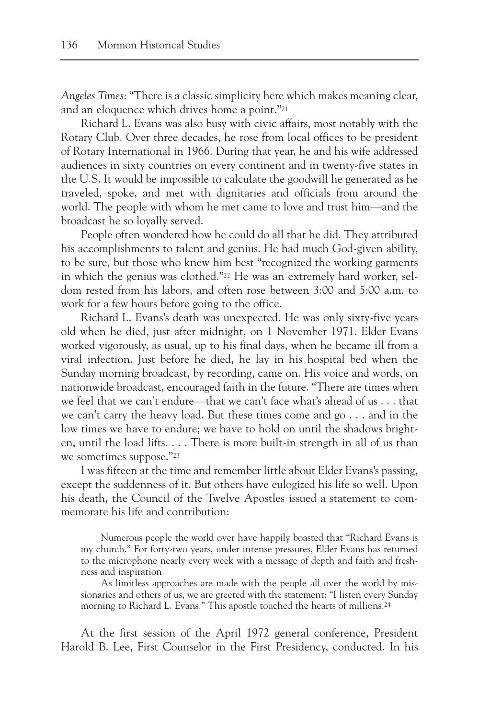*Angeles Times*: "There is a classic simplicity here which makes meaning clear, and an eloquence which drives home a point."21

Richard L. Evans was also busy with civic affairs, most notably with the Rotary Club. Over three decades, he rose from local offices to be president of Rotary International in 1966. During that year, he and his wife addressed audiences in sixty countries on every continent and in twenty-five states in the U.S. It would be impossible to calculate the goodwill he generated as he traveled, spoke, and met with dignitaries and officials from around the world. The people with whom he met came to love and trust him—and the broadcast he so loyally served.

People often wondered how he could do all that he did. They attributed his accomplishments to talent and genius. He had much God-given ability, to be sure, but those who knew him best "recognized the working garments in which the genius was clothed."22 He was an extremely hard worker, seldom rested from his labors, and often rose between 3:00 and 5:00 a.m. to work for a few hours before going to the office.

Richard L. Evans's death was unexpected. He was only sixty-five years old when he died, just after midnight, on 1 November 1971. Elder Evans worked vigorously, as usual, up to his final days, when he became ill from a viral infection. Just before he died, he lay in his hospital bed when the Sunday morning broadcast, by recording, came on. His voice and words, on nationwide broadcast, encouraged faith in the future. "There are times when we feel that we can't endure—that we can't face what's ahead of us . . . that we can't carry the heavy load. But these times come and go . . . and in the low times we have to endure; we have to hold on until the shadows brighten, until the load lifts. . . . There is more built-in strength in all of us than we sometimes suppose."23

I was fifteen at the time and remember little about Elder Evans's passing, except the suddenness of it. But others have eulogized his life so well. Upon his death, the Council of the Twelve Apostles issued a statement to commemorate his life and contribution:

Numerous people the world over have happily boasted that "Richard Evans is my church." For forty-two years, under intense pressures, Elder Evans has returned to the microphone nearly every week with a message of depth and faith and freshness and inspiration.

As limitless approaches are made with the people all over the world by missionaries and others of us, we are greeted with the statement: "I listen every Sunday morning to Richard L. Evans." This apostle touched the hearts of millions.24

At the first session of the April 1972 general conference, President Harold B. Lee, First Counselor in the First Presidency, conducted. In his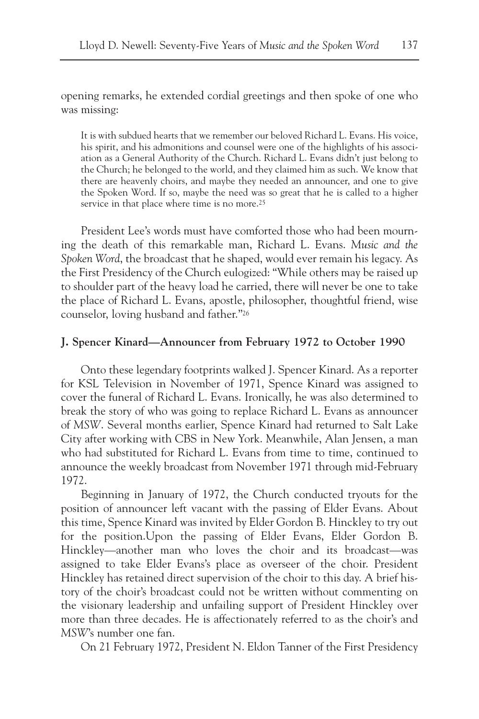opening remarks, he extended cordial greetings and then spoke of one who was missing:

It is with subdued hearts that we remember our beloved Richard L. Evans. His voice, his spirit, and his admonitions and counsel were one of the highlights of his association as a General Authority of the Church. Richard L. Evans didn't just belong to the Church; he belonged to the world, and they claimed him as such. We know that there are heavenly choirs, and maybe they needed an announcer, and one to give the Spoken Word. If so, maybe the need was so great that he is called to a higher service in that place where time is no more.<sup>25</sup>

President Lee's words must have comforted those who had been mourning the death of this remarkable man, Richard L. Evans. *Music and the Spoken Word*, the broadcast that he shaped, would ever remain his legacy. As the First Presidency of the Church eulogized: "While others may be raised up to shoulder part of the heavy load he carried, there will never be one to take the place of Richard L. Evans, apostle, philosopher, thoughtful friend, wise counselor, loving husband and father."26

# **J. Spencer Kinard—Announcer from February 1972 to October 1990**

Onto these legendary footprints walked J. Spencer Kinard. As a reporter for KSL Television in November of 1971, Spence Kinard was assigned to cover the funeral of Richard L. Evans. Ironically, he was also determined to break the story of who was going to replace Richard L. Evans as announcer of *MSW*. Several months earlier, Spence Kinard had returned to Salt Lake City after working with CBS in New York. Meanwhile, Alan Jensen, a man who had substituted for Richard L. Evans from time to time, continued to announce the weekly broadcast from November 1971 through mid-February 1972.

Beginning in January of 1972, the Church conducted tryouts for the position of announcer left vacant with the passing of Elder Evans. About this time, Spence Kinard was invited by Elder Gordon B. Hinckley to try out for the position.Upon the passing of Elder Evans, Elder Gordon B. Hinckley—another man who loves the choir and its broadcast—was assigned to take Elder Evans's place as overseer of the choir. President Hinckley has retained direct supervision of the choir to this day. A brief history of the choir's broadcast could not be written without commenting on the visionary leadership and unfailing support of President Hinckley over more than three decades. He is affectionately referred to as the choir's and *MSW*'s number one fan.

On 21 February 1972, President N. Eldon Tanner of the First Presidency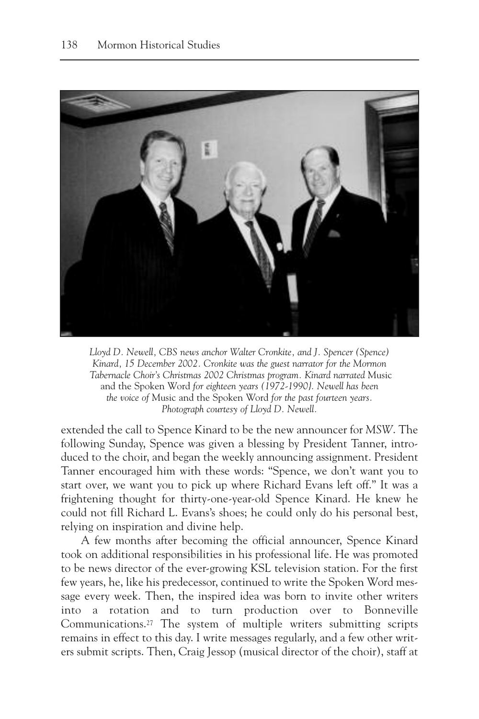

*Lloyd D. Newell, CBS news anchor Walter Cronkite, and J. Spencer (Spence) Kinard, 15 December 2002. Cronkite was the guest narrator for the Mormon Tabernacle Choir's Christmas 2002 Christmas program. Kinard narrated* Music and the Spoken Word *for eighteen years (1972-1990}. Newell has been the voice of* Music and the Spoken Word *for the past fourteen years. Photograph courtesy of Lloyd D. Newell.*

extended the call to Spence Kinard to be the new announcer for *MSW*. The following Sunday, Spence was given a blessing by President Tanner, introduced to the choir, and began the weekly announcing assignment. President Tanner encouraged him with these words: "Spence, we don't want you to start over, we want you to pick up where Richard Evans left off." It was a frightening thought for thirty-one-year-old Spence Kinard. He knew he could not fill Richard L. Evans's shoes; he could only do his personal best, relying on inspiration and divine help.

A few months after becoming the official announcer, Spence Kinard took on additional responsibilities in his professional life. He was promoted to be news director of the ever-growing KSL television station. For the first few years, he, like his predecessor, continued to write the Spoken Word message every week. Then, the inspired idea was born to invite other writers into a rotation and to turn production over to Bonneville Communications.27 The system of multiple writers submitting scripts remains in effect to this day. I write messages regularly, and a few other writers submit scripts. Then, Craig Jessop (musical director of the choir), staff at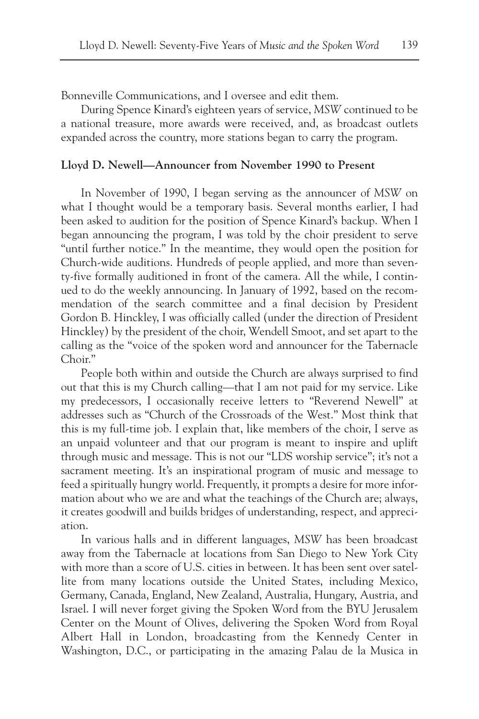Bonneville Communications, and I oversee and edit them.

During Spence Kinard's eighteen years of service, *MSW* continued to be a national treasure, more awards were received, and, as broadcast outlets expanded across the country, more stations began to carry the program.

# **Lloyd D. Newell—Announcer from November 1990 to Present**

In November of 1990, I began serving as the announcer of *MSW* on what I thought would be a temporary basis. Several months earlier, I had been asked to audition for the position of Spence Kinard's backup. When I began announcing the program, I was told by the choir president to serve "until further notice." In the meantime, they would open the position for Church-wide auditions. Hundreds of people applied, and more than seventy-five formally auditioned in front of the camera. All the while, I continued to do the weekly announcing. In January of 1992, based on the recommendation of the search committee and a final decision by President Gordon B. Hinckley, I was officially called (under the direction of President Hinckley) by the president of the choir, Wendell Smoot, and set apart to the calling as the "voice of the spoken word and announcer for the Tabernacle Choir."

People both within and outside the Church are always surprised to find out that this is my Church calling—that I am not paid for my service. Like my predecessors, I occasionally receive letters to "Reverend Newell" at addresses such as "Church of the Crossroads of the West." Most think that this is my full-time job. I explain that, like members of the choir, I serve as an unpaid volunteer and that our program is meant to inspire and uplift through music and message. This is not our "LDS worship service"; it's not a sacrament meeting. It's an inspirational program of music and message to feed a spiritually hungry world. Frequently, it prompts a desire for more information about who we are and what the teachings of the Church are; always, it creates goodwill and builds bridges of understanding, respect, and appreciation.

In various halls and in different languages, *MSW* has been broadcast away from the Tabernacle at locations from San Diego to New York City with more than a score of U.S. cities in between. It has been sent over satellite from many locations outside the United States, including Mexico, Germany, Canada, England, New Zealand, Australia, Hungary, Austria, and Israel. I will never forget giving the Spoken Word from the BYU Jerusalem Center on the Mount of Olives, delivering the Spoken Word from Royal Albert Hall in London, broadcasting from the Kennedy Center in Washington, D.C., or participating in the amazing Palau de la Musica in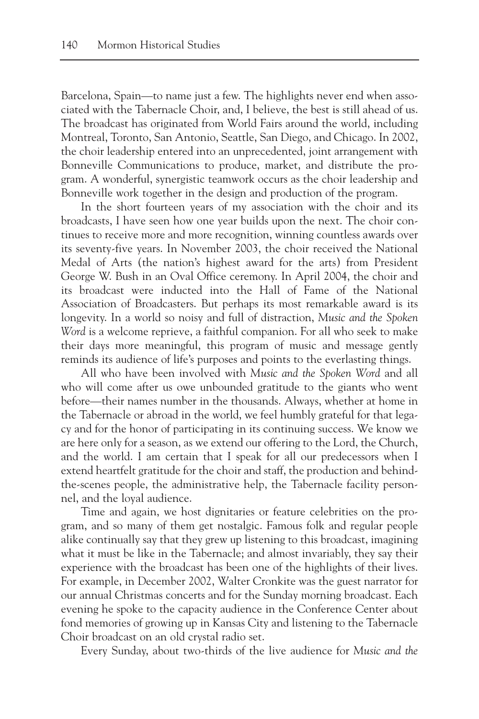Barcelona, Spain—to name just a few. The highlights never end when associated with the Tabernacle Choir, and, I believe, the best is still ahead of us. The broadcast has originated from World Fairs around the world, including Montreal, Toronto, San Antonio, Seattle, San Diego, and Chicago. In 2002, the choir leadership entered into an unprecedented, joint arrangement with Bonneville Communications to produce, market, and distribute the program. A wonderful, synergistic teamwork occurs as the choir leadership and Bonneville work together in the design and production of the program.

In the short fourteen years of my association with the choir and its broadcasts, I have seen how one year builds upon the next. The choir continues to receive more and more recognition, winning countless awards over its seventy-five years. In November 2003, the choir received the National Medal of Arts (the nation's highest award for the arts) from President George W. Bush in an Oval Office ceremony. In April 2004, the choir and its broadcast were inducted into the Hall of Fame of the National Association of Broadcasters. But perhaps its most remarkable award is its longevity. In a world so noisy and full of distraction, *Music and the Spoken Word* is a welcome reprieve, a faithful companion. For all who seek to make their days more meaningful, this program of music and message gently reminds its audience of life's purposes and points to the everlasting things.

All who have been involved with *Music and the Spoken Word* and all who will come after us owe unbounded gratitude to the giants who went before—their names number in the thousands. Always, whether at home in the Tabernacle or abroad in the world, we feel humbly grateful for that legacy and for the honor of participating in its continuing success. We know we are here only for a season, as we extend our offering to the Lord, the Church, and the world. I am certain that I speak for all our predecessors when I extend heartfelt gratitude for the choir and staff, the production and behindthe-scenes people, the administrative help, the Tabernacle facility personnel, and the loyal audience.

Time and again, we host dignitaries or feature celebrities on the program, and so many of them get nostalgic. Famous folk and regular people alike continually say that they grew up listening to this broadcast, imagining what it must be like in the Tabernacle; and almost invariably, they say their experience with the broadcast has been one of the highlights of their lives. For example, in December 2002, Walter Cronkite was the guest narrator for our annual Christmas concerts and for the Sunday morning broadcast. Each evening he spoke to the capacity audience in the Conference Center about fond memories of growing up in Kansas City and listening to the Tabernacle Choir broadcast on an old crystal radio set.

Every Sunday, about two-thirds of the live audience for *Music and the*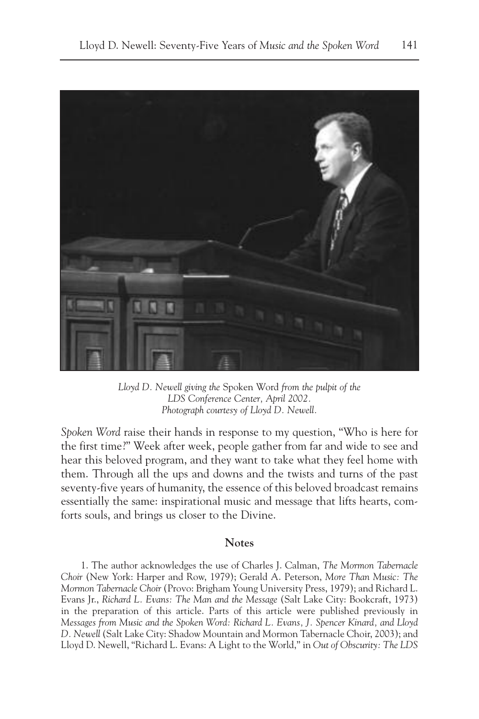

*Lloyd D. Newell giving the* Spoken Word *from the pulpit of the LDS Conference Center, April 2002. Photograph courtesy of Lloyd D. Newell.*

*Spoken Word* raise their hands in response to my question, "Who is here for the first time?" Week after week, people gather from far and wide to see and hear this beloved program, and they want to take what they feel home with them. Through all the ups and downs and the twists and turns of the past seventy-five years of humanity, the essence of this beloved broadcast remains essentially the same: inspirational music and message that lifts hearts, comforts souls, and brings us closer to the Divine.

## **Notes**

1. The author acknowledges the use of Charles J. Calman, *The Mormon Tabernacle Choir* (New York: Harper and Row, 1979); Gerald A. Peterson, *More Than Music: The Mormon Tabernacle Choir* (Provo: Brigham Young University Press, 1979); and Richard L. Evans Jr., *Richard L. Evans: The Man and the Message* (Salt Lake City: Bookcraft, 1973) in the preparation of this article. Parts of this article were published previously in *Messages from Music and the Spoken Word: Richard L. Evans, J. Spencer Kinard, and Lloyd D. Newell* (Salt Lake City: Shadow Mountain and Mormon Tabernacle Choir, 2003); and Lloyd D. Newell, "Richard L. Evans: A Light to the World," in *Out of Obscurity: The LDS*